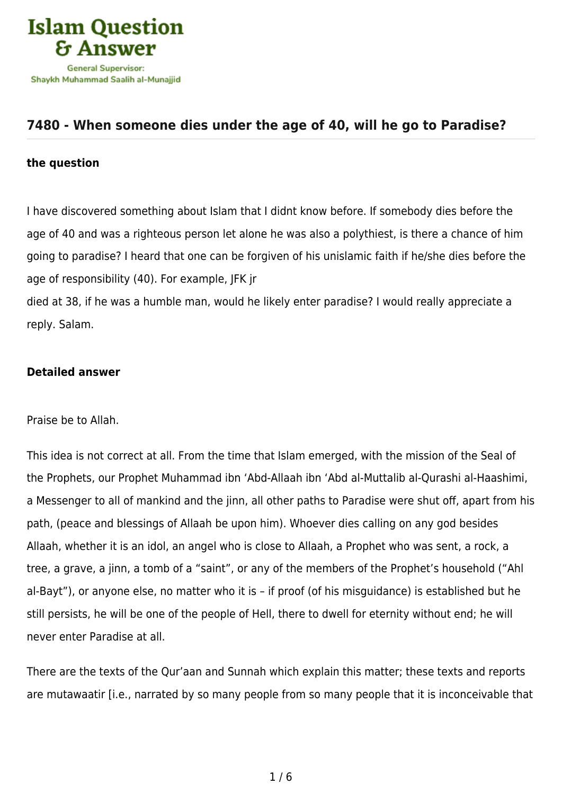

## **[7480 - When someone dies under the age of 40, will he go to Paradise?](https://islamqa.com/en/answers/7480/when-someone-dies-under-the-age-of-40-will-he-go-to-paradise)**

## **the question**

I have discovered something about Islam that I didnt know before. If somebody dies before the age of 40 and was a righteous person let alone he was also a polythiest, is there a chance of him going to paradise? I heard that one can be forgiven of his unislamic faith if he/she dies before the age of responsibility (40). For example, JFK jr died at 38, if he was a humble man, would he likely enter paradise? I would really appreciate a

reply. Salam.

## **Detailed answer**

Praise be to Allah.

This idea is not correct at all. From the time that Islam emerged, with the mission of the Seal of the Prophets, our Prophet Muhammad ibn 'Abd-Allaah ibn 'Abd al-Muttalib al-Qurashi al-Haashimi, a Messenger to all of mankind and the jinn, all other paths to Paradise were shut off, apart from his path, (peace and blessings of Allaah be upon him). Whoever dies calling on any god besides Allaah, whether it is an idol, an angel who is close to Allaah, a Prophet who was sent, a rock, a tree, a grave, a jinn, a tomb of a "saint", or any of the members of the Prophet's household ("Ahl al-Bayt"), or anyone else, no matter who it is – if proof (of his misguidance) is established but he still persists, he will be one of the people of Hell, there to dwell for eternity without end; he will never enter Paradise at all.

There are the texts of the Qur'aan and Sunnah which explain this matter; these texts and reports are mutawaatir [i.e., narrated by so many people from so many people that it is inconceivable that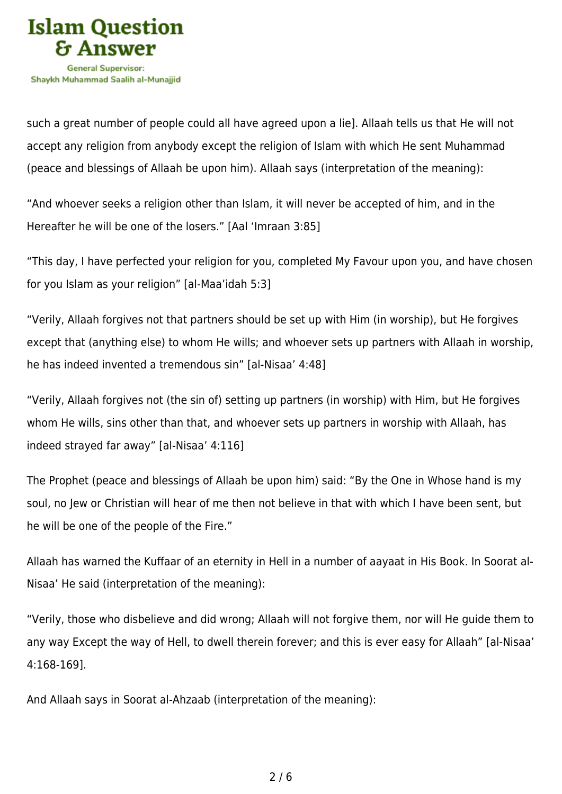

such a great number of people could all have agreed upon a lie]. Allaah tells us that He will not accept any religion from anybody except the religion of Islam with which He sent Muhammad (peace and blessings of Allaah be upon him). Allaah says (interpretation of the meaning):

"And whoever seeks a religion other than Islam, it will never be accepted of him, and in the Hereafter he will be one of the losers." [Aal 'Imraan 3:85]

"This day, I have perfected your religion for you, completed My Favour upon you, and have chosen for you Islam as your religion" [al-Maa'idah 5:3]

"Verily, Allaah forgives not that partners should be set up with Him (in worship), but He forgives except that (anything else) to whom He wills; and whoever sets up partners with Allaah in worship, he has indeed invented a tremendous sin" [al-Nisaa' 4:48]

"Verily, Allaah forgives not (the sin of) setting up partners (in worship) with Him, but He forgives whom He wills, sins other than that, and whoever sets up partners in worship with Allaah, has indeed strayed far away" [al-Nisaa' 4:116]

The Prophet (peace and blessings of Allaah be upon him) said: "By the One in Whose hand is my soul, no Jew or Christian will hear of me then not believe in that with which I have been sent, but he will be one of the people of the Fire."

Allaah has warned the Kuffaar of an eternity in Hell in a number of aayaat in His Book. In Soorat al-Nisaa' He said (interpretation of the meaning):

"Verily, those who disbelieve and did wrong; Allaah will not forgive them, nor will He guide them to any way Except the way of Hell, to dwell therein forever; and this is ever easy for Allaah" [al-Nisaa' 4:168-169].

And Allaah says in Soorat al-Ahzaab (interpretation of the meaning):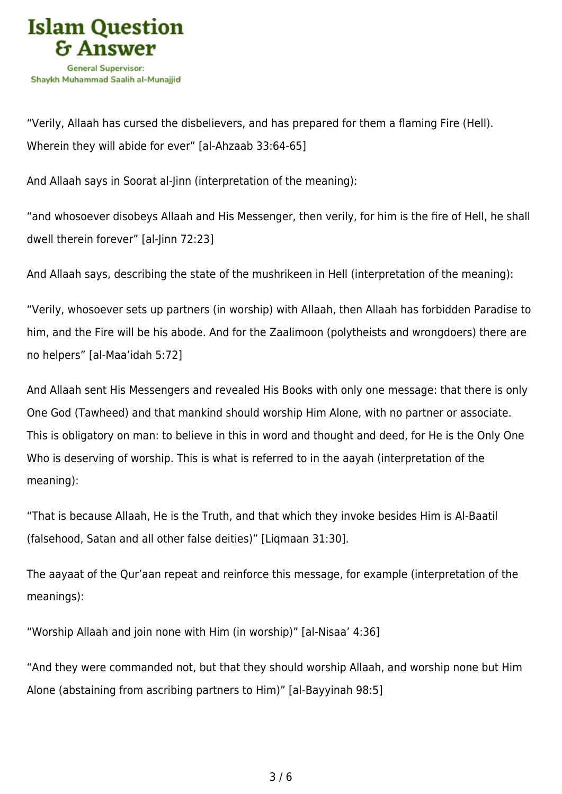

"Verily, Allaah has cursed the disbelievers, and has prepared for them a flaming Fire (Hell). Wherein they will abide for ever" [al-Ahzaab 33:64-65]

And Allaah says in Soorat al-Jinn (interpretation of the meaning):

"and whosoever disobeys Allaah and His Messenger, then verily, for him is the fire of Hell, he shall dwell therein forever" [al-Jinn 72:23]

And Allaah says, describing the state of the mushrikeen in Hell (interpretation of the meaning):

"Verily, whosoever sets up partners (in worship) with Allaah, then Allaah has forbidden Paradise to him, and the Fire will be his abode. And for the Zaalimoon (polytheists and wrongdoers) there are no helpers" [al-Maa'idah 5:72]

And Allaah sent His Messengers and revealed His Books with only one message: that there is only One God (Tawheed) and that mankind should worship Him Alone, with no partner or associate. This is obligatory on man: to believe in this in word and thought and deed, for He is the Only One Who is deserving of worship. This is what is referred to in the aayah (interpretation of the meaning):

"That is because Allaah, He is the Truth, and that which they invoke besides Him is Al-Baatil (falsehood, Satan and all other false deities)" [Liqmaan 31:30].

The aayaat of the Qur'aan repeat and reinforce this message, for example (interpretation of the meanings):

"Worship Allaah and join none with Him (in worship)" [al-Nisaa' 4:36]

"And they were commanded not, but that they should worship Allaah, and worship none but Him Alone (abstaining from ascribing partners to Him)" [al-Bayyinah 98:5]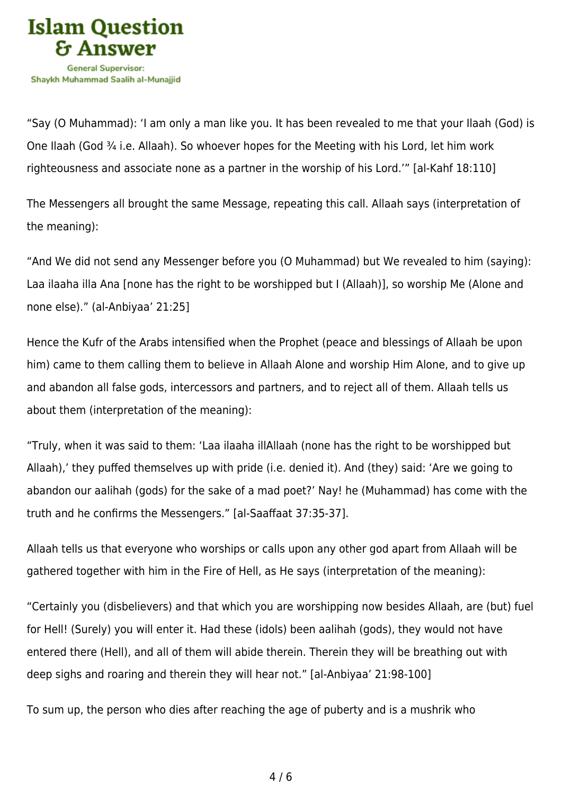

"Say (O Muhammad): 'I am only a man like you. It has been revealed to me that your Ilaah (God) is One Ilaah (God ¾ i.e. Allaah). So whoever hopes for the Meeting with his Lord, let him work righteousness and associate none as a partner in the worship of his Lord.'" [al-Kahf 18:110]

The Messengers all brought the same Message, repeating this call. Allaah says (interpretation of the meaning):

"And We did not send any Messenger before you (O Muhammad) but We revealed to him (saying): Laa ilaaha illa Ana [none has the right to be worshipped but I (Allaah)], so worship Me (Alone and none else)." (al-Anbiyaa' 21:25]

Hence the Kufr of the Arabs intensified when the Prophet (peace and blessings of Allaah be upon him) came to them calling them to believe in Allaah Alone and worship Him Alone, and to give up and abandon all false gods, intercessors and partners, and to reject all of them. Allaah tells us about them (interpretation of the meaning):

"Truly, when it was said to them: 'Laa ilaaha illAllaah (none has the right to be worshipped but Allaah),' they puffed themselves up with pride (i.e. denied it). And (they) said: 'Are we going to abandon our aalihah (gods) for the sake of a mad poet?' Nay! he (Muhammad) has come with the truth and he confirms the Messengers." [al-Saaffaat 37:35-37].

Allaah tells us that everyone who worships or calls upon any other god apart from Allaah will be gathered together with him in the Fire of Hell, as He says (interpretation of the meaning):

"Certainly you (disbelievers) and that which you are worshipping now besides Allaah, are (but) fuel for Hell! (Surely) you will enter it. Had these (idols) been aalihah (gods), they would not have entered there (Hell), and all of them will abide therein. Therein they will be breathing out with deep sighs and roaring and therein they will hear not." [al-Anbiyaa' 21:98-100]

To sum up, the person who dies after reaching the age of puberty and is a mushrik who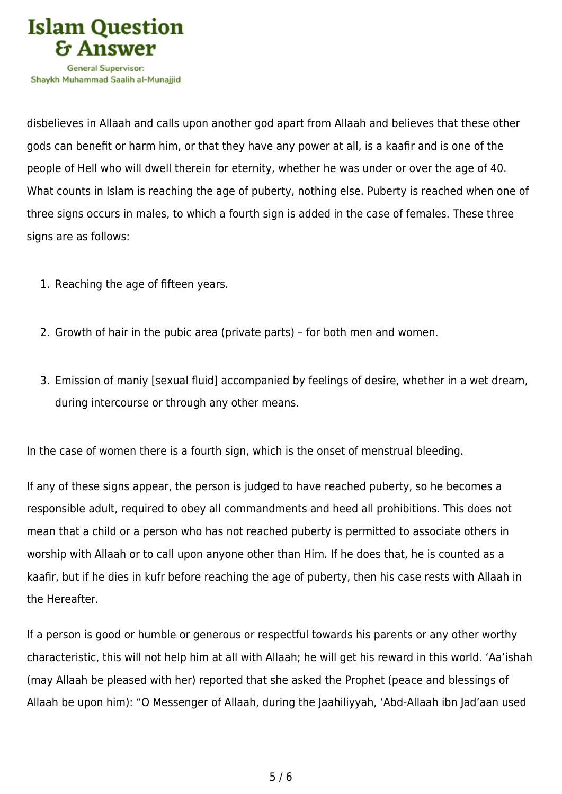

disbelieves in Allaah and calls upon another god apart from Allaah and believes that these other gods can benefit or harm him, or that they have any power at all, is a kaafir and is one of the people of Hell who will dwell therein for eternity, whether he was under or over the age of 40. What counts in Islam is reaching the age of puberty, nothing else. Puberty is reached when one of three signs occurs in males, to which a fourth sign is added in the case of females. These three signs are as follows:

- 1. Reaching the age of fifteen years.
- 2. Growth of hair in the pubic area (private parts) for both men and women.
- 3. Emission of maniy [sexual fluid] accompanied by feelings of desire, whether in a wet dream, during intercourse or through any other means.

In the case of women there is a fourth sign, which is the onset of menstrual bleeding.

If any of these signs appear, the person is judged to have reached puberty, so he becomes a responsible adult, required to obey all commandments and heed all prohibitions. This does not mean that a child or a person who has not reached puberty is permitted to associate others in worship with Allaah or to call upon anyone other than Him. If he does that, he is counted as a kaafir, but if he dies in kufr before reaching the age of puberty, then his case rests with Allaah in the Hereafter.

If a person is good or humble or generous or respectful towards his parents or any other worthy characteristic, this will not help him at all with Allaah; he will get his reward in this world. 'Aa'ishah (may Allaah be pleased with her) reported that she asked the Prophet (peace and blessings of Allaah be upon him): "O Messenger of Allaah, during the Jaahiliyyah, 'Abd-Allaah ibn Jad'aan used